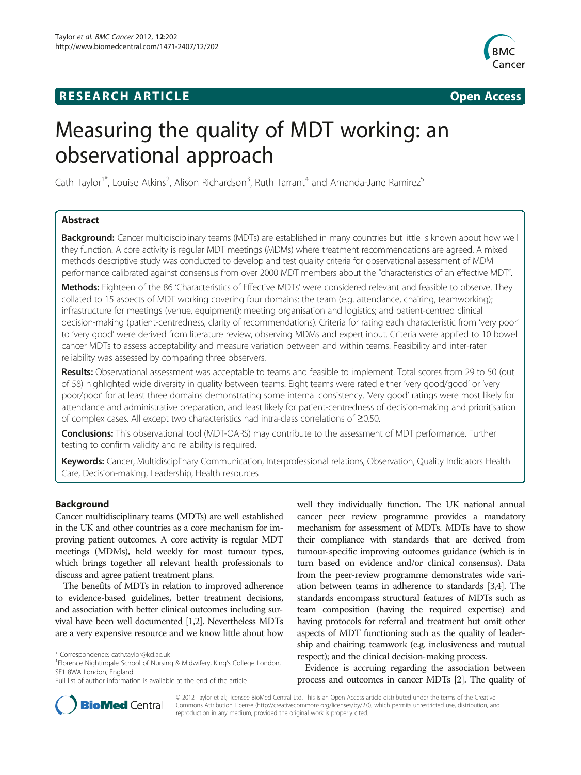# **RESEARCH ARTICLE Example 2014 The SEARCH ARTICLE**



# Measuring the quality of MDT working: an observational approach

Cath Taylor<sup>1\*</sup>, Louise Atkins<sup>2</sup>, Alison Richardson<sup>3</sup>, Ruth Tarrant<sup>4</sup> and Amanda-Jane Ramirez<sup>5</sup>

# Abstract

Background: Cancer multidisciplinary teams (MDTs) are established in many countries but little is known about how well they function. A core activity is regular MDT meetings (MDMs) where treatment recommendations are agreed. A mixed methods descriptive study was conducted to develop and test quality criteria for observational assessment of MDM performance calibrated against consensus from over 2000 MDT members about the "characteristics of an effective MDT".

Methods: Eighteen of the 86 'Characteristics of Effective MDTs' were considered relevant and feasible to observe. They collated to 15 aspects of MDT working covering four domains: the team (e.g. attendance, chairing, teamworking); infrastructure for meetings (venue, equipment); meeting organisation and logistics; and patient-centred clinical decision-making (patient-centredness, clarity of recommendations). Criteria for rating each characteristic from 'very poor' to 'very good' were derived from literature review, observing MDMs and expert input. Criteria were applied to 10 bowel cancer MDTs to assess acceptability and measure variation between and within teams. Feasibility and inter-rater reliability was assessed by comparing three observers.

Results: Observational assessment was acceptable to teams and feasible to implement. Total scores from 29 to 50 (out of 58) highlighted wide diversity in quality between teams. Eight teams were rated either 'very good/good' or 'very poor/poor' for at least three domains demonstrating some internal consistency. 'Very good' ratings were most likely for attendance and administrative preparation, and least likely for patient-centredness of decision-making and prioritisation of complex cases. All except two characteristics had intra-class correlations of ≥0.50.

Conclusions: This observational tool (MDT-OARS) may contribute to the assessment of MDT performance. Further testing to confirm validity and reliability is required.

Keywords: Cancer, Multidisciplinary Communication, Interprofessional relations, Observation, Quality Indicators Health Care, Decision-making, Leadership, Health resources

### Background

Cancer multidisciplinary teams (MDTs) are well established in the UK and other countries as a core mechanism for improving patient outcomes. A core activity is regular MDT meetings (MDMs), held weekly for most tumour types, which brings together all relevant health professionals to discuss and agree patient treatment plans.

The benefits of MDTs in relation to improved adherence to evidence-based guidelines, better treatment decisions, and association with better clinical outcomes including survival have been well documented [\[1,2\]](#page-9-0). Nevertheless MDTs are a very expensive resource and we know little about how well they individually function. The UK national annual cancer peer review programme provides a mandatory mechanism for assessment of MDTs. MDTs have to show their compliance with standards that are derived from tumour-specific improving outcomes guidance (which is in turn based on evidence and/or clinical consensus). Data from the peer-review programme demonstrates wide variation between teams in adherence to standards [[3,4\]](#page-9-0). The standards encompass structural features of MDTs such as team composition (having the required expertise) and having protocols for referral and treatment but omit other aspects of MDT functioning such as the quality of leadership and chairing; teamwork (e.g. inclusiveness and mutual respect); and the clinical decision-making process.

Evidence is accruing regarding the association between process and outcomes in cancer MDTs [[2](#page-9-0)]. The quality of



© 2012 Taylor et al.; licensee BioMed Central Ltd. This is an Open Access article distributed under the terms of the Creative Commons Attribution License (http://creativecommons.org/licenses/by/2.0), which permits unrestricted use, distribution, and reproduction in any medium, provided the original work is properly cited.

<sup>\*</sup> Correspondence: [cath.taylor@kcl.ac.uk](mailto:cath.taylor@kcl.ac.uk) <sup>1</sup>

<sup>&</sup>lt;sup>1</sup>Florence Nightingale School of Nursing & Midwifery, King's College London, SE1 8WA London, England

Full list of author information is available at the end of the article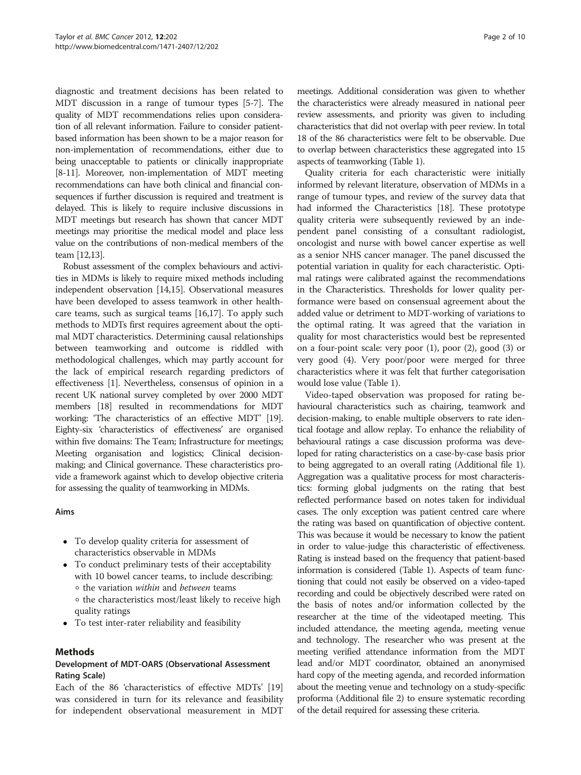diagnostic and treatment decisions has been related to MDT discussion in a range of tumour types [[5-7](#page-9-0)]. The quality of MDT recommendations relies upon consideration of all relevant information. Failure to consider patientbased information has been shown to be a major reason for non-implementation of recommendations, either due to being unacceptable to patients or clinically inappropriate [[8](#page-9-0)-[11](#page-9-0)]. Moreover, non-implementation of MDT meeting recommendations can have both clinical and financial consequences if further discussion is required and treatment is delayed. This is likely to require inclusive discussions in MDT meetings but research has shown that cancer MDT meetings may prioritise the medical model and place less value on the contributions of non-medical members of the team [[12,13](#page-9-0)].

Robust assessment of the complex behaviours and activities in MDMs is likely to require mixed methods including independent observation [[14,15\]](#page-9-0). Observational measures have been developed to assess teamwork in other healthcare teams, such as surgical teams [[16,17\]](#page-9-0). To apply such methods to MDTs first requires agreement about the optimal MDT characteristics. Determining causal relationships between teamworking and outcome is riddled with methodological challenges, which may partly account for the lack of empirical research regarding predictors of effectiveness [\[1](#page-9-0)]. Nevertheless, consensus of opinion in a recent UK national survey completed by over 2000 MDT members [[18\]](#page-9-0) resulted in recommendations for MDT working: 'The characteristics of an effective MDT' [\[19](#page-9-0)]. Eighty-six 'characteristics of effectiveness' are organised within five domains: The Team; Infrastructure for meetings; Meeting organisation and logistics; Clinical decisionmaking; and Clinical governance. These characteristics provide a framework against which to develop objective criteria for assessing the quality of teamworking in MDMs.

#### Aims

- To develop quality criteria for assessment of characteristics observable in MDMs
- To conduct preliminary tests of their acceptability with 10 bowel cancer teams, to include describing: ∘ the variation within and between teams
	- ∘ the characteristics most/least likely to receive high quality ratings
- To test inter-rater reliability and feasibility

### Methods

#### Development of MDT-OARS (Observational Assessment Rating Scale)

Each of the 86 'characteristics of effective MDTs' [[19](#page-9-0)] was considered in turn for its relevance and feasibility for independent observational measurement in MDT

meetings. Additional consideration was given to whether the characteristics were already measured in national peer review assessments, and priority was given to including characteristics that did not overlap with peer review. In total 18 of the 86 characteristics were felt to be observable. Due to overlap between characteristics these aggregated into 15 aspects of teamworking (Table [1\)](#page-2-0).

Quality criteria for each characteristic were initially informed by relevant literature, observation of MDMs in a range of tumour types, and review of the survey data that had informed the Characteristics [\[18\]](#page-9-0). These prototype quality criteria were subsequently reviewed by an independent panel consisting of a consultant radiologist, oncologist and nurse with bowel cancer expertise as well as a senior NHS cancer manager. The panel discussed the potential variation in quality for each characteristic. Optimal ratings were calibrated against the recommendations in the Characteristics. Thresholds for lower quality performance were based on consensual agreement about the added value or detriment to MDT-working of variations to the optimal rating. It was agreed that the variation in quality for most characteristics would best be represented on a four-point scale: very poor (1), poor (2), good (3) or very good (4). Very poor/poor were merged for three characteristics where it was felt that further categorisation would lose value (Table [1](#page-2-0)).

Video-taped observation was proposed for rating behavioural characteristics such as chairing, teamwork and decision-making, to enable multiple observers to rate identical footage and allow replay. To enhance the reliability of behavioural ratings a case discussion proforma was developed for rating characteristics on a case-by-case basis prior to being aggregated to an overall rating (Additional file [1](#page-9-0)). Aggregation was a qualitative process for most characteristics: forming global judgments on the rating that best reflected performance based on notes taken for individual cases. The only exception was patient centred care where the rating was based on quantification of objective content. This was because it would be necessary to know the patient in order to value-judge this characteristic of effectiveness. Rating is instead based on the frequency that patient-based information is considered (Table [1\)](#page-2-0). Aspects of team functioning that could not easily be observed on a video-taped recording and could be objectively described were rated on the basis of notes and/or information collected by the researcher at the time of the videotaped meeting. This included attendance, the meeting agenda, meeting venue and technology. The researcher who was present at the meeting verified attendance information from the MDT lead and/or MDT coordinator, obtained an anonymised hard copy of the meeting agenda, and recorded information about the meeting venue and technology on a study-specific proforma (Additional file [2](#page-9-0)) to ensure systematic recording of the detail required for assessing these criteria.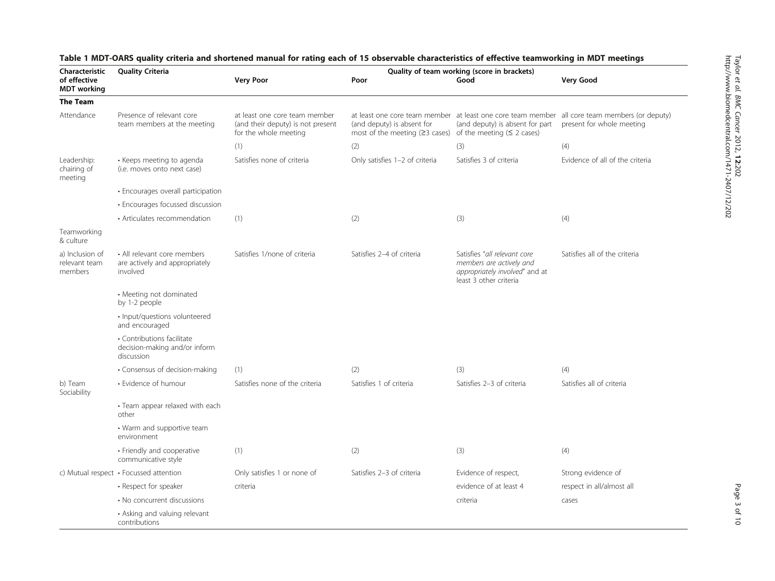| Characteristic                              | <b>Quality Criteria</b>                                                   |                                                                                             | Quality of team working (score in brackets)                                                          |                                                                                                                      |                                                                |  |  |  |  |
|---------------------------------------------|---------------------------------------------------------------------------|---------------------------------------------------------------------------------------------|------------------------------------------------------------------------------------------------------|----------------------------------------------------------------------------------------------------------------------|----------------------------------------------------------------|--|--|--|--|
| of effective<br><b>MDT</b> working          |                                                                           | <b>Very Poor</b>                                                                            | Poor                                                                                                 | Good                                                                                                                 | <b>Very Good</b>                                               |  |  |  |  |
| <b>The Team</b>                             |                                                                           |                                                                                             |                                                                                                      |                                                                                                                      |                                                                |  |  |  |  |
| Attendance                                  | Presence of relevant core<br>team members at the meeting                  | at least one core team member<br>(and their deputy) is not present<br>for the whole meeting | (and deputy) is absent for<br>most of the meeting ( $\geq$ 3 cases) of the meeting ( $\leq$ 2 cases) | at least one core team member at least one core team member<br>(and deputy) is absent for part                       | all core team members (or deputy)<br>present for whole meeting |  |  |  |  |
|                                             |                                                                           | (1)                                                                                         | (2)                                                                                                  | (3)                                                                                                                  | (4)                                                            |  |  |  |  |
| Leadership:<br>chairing of<br>meeting       | • Keeps meeting to agenda<br>(i.e. moves onto next case)                  | Satisfies none of criteria                                                                  | Only satisfies 1-2 of criteria                                                                       | Satisfies 3 of criteria                                                                                              | Evidence of all of the criteria                                |  |  |  |  |
|                                             | · Encourages overall participation                                        |                                                                                             |                                                                                                      |                                                                                                                      |                                                                |  |  |  |  |
|                                             | • Encourages focussed discussion                                          |                                                                                             |                                                                                                      |                                                                                                                      |                                                                |  |  |  |  |
|                                             | • Articulates recommendation                                              | (1)                                                                                         | (2)                                                                                                  | (3)                                                                                                                  | (4)                                                            |  |  |  |  |
| Teamworking<br>& culture                    |                                                                           |                                                                                             |                                                                                                      |                                                                                                                      |                                                                |  |  |  |  |
| a) Inclusion of<br>relevant team<br>members | • All relevant core members<br>are actively and appropriately<br>involved | Satisfies 1/none of criteria                                                                | Satisfies 2-4 of criteria                                                                            | Satisfies "all relevant core<br>members are actively and<br>appropriately involved" and at<br>least 3 other criteria | Satisfies all of the criteria                                  |  |  |  |  |
|                                             | • Meeting not dominated<br>by 1-2 people                                  |                                                                                             |                                                                                                      |                                                                                                                      |                                                                |  |  |  |  |
|                                             | · Input/questions volunteered<br>and encouraged                           |                                                                                             |                                                                                                      |                                                                                                                      |                                                                |  |  |  |  |
|                                             | • Contributions facilitate<br>decision-making and/or inform<br>discussion |                                                                                             |                                                                                                      |                                                                                                                      |                                                                |  |  |  |  |
|                                             | • Consensus of decision-making                                            | (1)                                                                                         | (2)                                                                                                  | (3)                                                                                                                  | (4)                                                            |  |  |  |  |
| b) Team<br>Sociability                      | • Evidence of humour                                                      | Satisfies none of the criteria                                                              | Satisfies 1 of criteria                                                                              | Satisfies 2-3 of criteria                                                                                            | Satisfies all of criteria                                      |  |  |  |  |
|                                             | • Team appear relaxed with each<br>other                                  |                                                                                             |                                                                                                      |                                                                                                                      |                                                                |  |  |  |  |
|                                             | • Warm and supportive team<br>environment                                 |                                                                                             |                                                                                                      |                                                                                                                      |                                                                |  |  |  |  |
|                                             | • Friendly and cooperative<br>communicative style                         | (1)                                                                                         | (2)                                                                                                  | (3)                                                                                                                  | (4)                                                            |  |  |  |  |
|                                             | c) Mutual respect · Focussed attention                                    | Only satisfies 1 or none of                                                                 | Satisfies 2-3 of criteria                                                                            | Evidence of respect,                                                                                                 | Strong evidence of                                             |  |  |  |  |
|                                             | • Respect for speaker                                                     | criteria                                                                                    |                                                                                                      | evidence of at least 4                                                                                               | respect in all/almost all                                      |  |  |  |  |
|                                             | • No concurrent discussions                                               |                                                                                             |                                                                                                      | criteria                                                                                                             | cases                                                          |  |  |  |  |
|                                             | • Asking and valuing relevant<br>contributions                            |                                                                                             |                                                                                                      |                                                                                                                      |                                                                |  |  |  |  |

# <span id="page-2-0"></span>Table 1 MDT-OARS quality criteria and shortened manual for rating each of 15 observable characteristics of effective teamworking in MDT meetings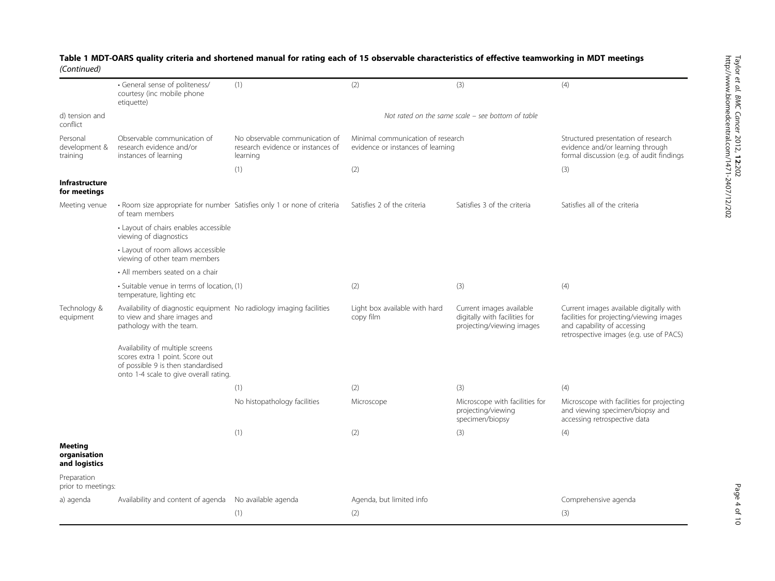|                                                 | • General sense of politeness/<br>courtesy (inc mobile phone<br>etiquette)                                                                          | (1)                                                                             | (2)                                                                    | (3)                                                                                                                  | (4)                                                                                                                                                           |  |
|-------------------------------------------------|-----------------------------------------------------------------------------------------------------------------------------------------------------|---------------------------------------------------------------------------------|------------------------------------------------------------------------|----------------------------------------------------------------------------------------------------------------------|---------------------------------------------------------------------------------------------------------------------------------------------------------------|--|
| d) tension and<br>conflict                      |                                                                                                                                                     |                                                                                 |                                                                        | Not rated on the same scale – see bottom of table                                                                    |                                                                                                                                                               |  |
| Personal<br>development &<br>training           | Observable communication of<br>research evidence and/or<br>instances of learning                                                                    | No observable communication of<br>research evidence or instances of<br>learning | Minimal communication of research<br>evidence or instances of learning | Structured presentation of research<br>evidence and/or learning through<br>formal discussion (e.g. of audit findings |                                                                                                                                                               |  |
|                                                 |                                                                                                                                                     | (1)                                                                             | (2)                                                                    |                                                                                                                      | (3)                                                                                                                                                           |  |
| <b>Infrastructure</b><br>for meetings           |                                                                                                                                                     |                                                                                 |                                                                        |                                                                                                                      |                                                                                                                                                               |  |
| Meeting venue                                   | · Room size appropriate for number Satisfies only 1 or none of criteria<br>of team members                                                          |                                                                                 | Satisfies 2 of the criteria                                            | Satisfies 3 of the criteria                                                                                          | Satisfies all of the criteria                                                                                                                                 |  |
|                                                 | • Layout of chairs enables accessible<br>viewing of diagnostics                                                                                     |                                                                                 |                                                                        |                                                                                                                      |                                                                                                                                                               |  |
|                                                 | • Layout of room allows accessible<br>viewing of other team members                                                                                 |                                                                                 |                                                                        |                                                                                                                      |                                                                                                                                                               |  |
|                                                 | • All members seated on a chair                                                                                                                     |                                                                                 |                                                                        |                                                                                                                      |                                                                                                                                                               |  |
|                                                 | · Suitable venue in terms of location, (1)<br>temperature, lighting etc                                                                             |                                                                                 | (2)                                                                    | (3)                                                                                                                  | (4)                                                                                                                                                           |  |
| Technology &<br>equipment                       | Availability of diagnostic equipment No radiology imaging facilities<br>to view and share images and<br>pathology with the team.                    |                                                                                 | Light box available with hard<br>copy film                             | Current images available<br>digitally with facilities for<br>projecting/viewing images                               | Current images available digitally with<br>facilities for projecting/viewing images<br>and capability of accessing<br>retrospective images (e.g. use of PACS) |  |
|                                                 | Availability of multiple screens<br>scores extra 1 point. Score out<br>of possible 9 is then standardised<br>onto 1-4 scale to give overall rating. |                                                                                 |                                                                        |                                                                                                                      |                                                                                                                                                               |  |
|                                                 |                                                                                                                                                     | (1)                                                                             | (2)                                                                    | (3)                                                                                                                  | (4)                                                                                                                                                           |  |
|                                                 |                                                                                                                                                     | No histopathology facilities                                                    | Microscope                                                             | Microscope with facilities for<br>projecting/viewing<br>specimen/biopsy                                              | Microscope with facilities for projecting<br>and viewing specimen/biopsy and<br>accessing retrospective data                                                  |  |
|                                                 |                                                                                                                                                     | (1)                                                                             | (2)                                                                    | (3)                                                                                                                  | (4)                                                                                                                                                           |  |
| <b>Meeting</b><br>organisation<br>and logistics |                                                                                                                                                     |                                                                                 |                                                                        |                                                                                                                      |                                                                                                                                                               |  |
| Preparation<br>prior to meetings:               |                                                                                                                                                     |                                                                                 |                                                                        |                                                                                                                      |                                                                                                                                                               |  |
| a) agenda                                       | Availability and content of agenda No available agenda                                                                                              |                                                                                 | Agenda, but limited info                                               |                                                                                                                      | Comprehensive agenda                                                                                                                                          |  |
|                                                 |                                                                                                                                                     | (1)                                                                             | (2)                                                                    |                                                                                                                      | (3)                                                                                                                                                           |  |

# Table 1 MDT-OARS quality criteria and shortened manual for rating each of 15 observable characteristics of effective teamworking in MDT meetings (Continued)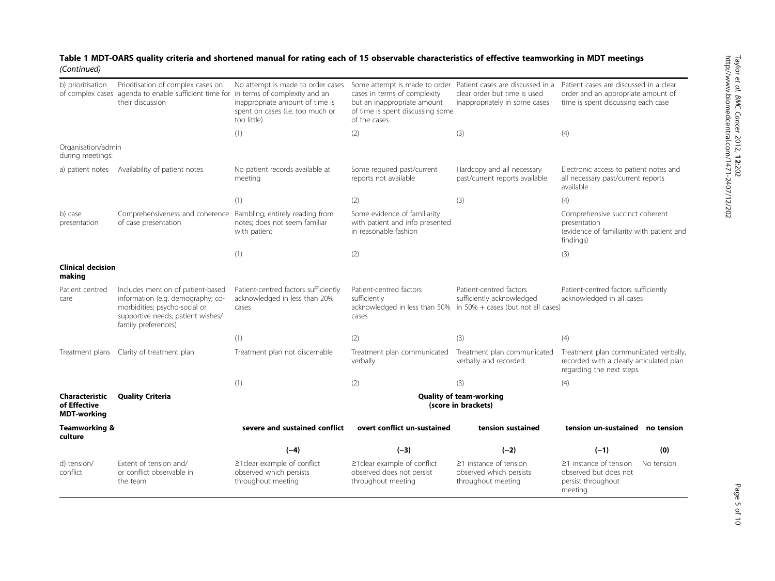| b) prioritisation                                    | Prioritisation of complex cases on<br>of complex cases agenda to enable sufficient time for in terms of complexity and an<br>their discussion                       | No attempt is made to order cases<br>inappropriate amount of time is<br>spent on cases (i.e. too much or<br>too little) | Some attempt is made to order<br>cases in terms of complexity<br>but an inappropriate amount<br>of time is spent discussing some<br>of the cases | Patient cases are discussed in a<br>clear order but time is used<br>inappropriately in some cases                        | Patient cases are discussed in a clear<br>order and an appropriate amount of<br>time is spent discussing each case |  |  |  |  |
|------------------------------------------------------|---------------------------------------------------------------------------------------------------------------------------------------------------------------------|-------------------------------------------------------------------------------------------------------------------------|--------------------------------------------------------------------------------------------------------------------------------------------------|--------------------------------------------------------------------------------------------------------------------------|--------------------------------------------------------------------------------------------------------------------|--|--|--|--|
|                                                      |                                                                                                                                                                     | (1)                                                                                                                     | (2)                                                                                                                                              | (3)                                                                                                                      | (4)                                                                                                                |  |  |  |  |
| Organisation/admin<br>during meetings:               |                                                                                                                                                                     |                                                                                                                         |                                                                                                                                                  |                                                                                                                          |                                                                                                                    |  |  |  |  |
| a) patient notes                                     | Availability of patient notes                                                                                                                                       | No patient records available at<br>meeting                                                                              | Some required past/current<br>reports not available                                                                                              | Hardcopy and all necessary<br>past/current reports available                                                             | Electronic access to patient notes and<br>all necessary past/current reports<br>available                          |  |  |  |  |
|                                                      |                                                                                                                                                                     | (1)                                                                                                                     | (2)                                                                                                                                              | (3)                                                                                                                      | (4)                                                                                                                |  |  |  |  |
| b) case<br>presentation                              | Comprehensiveness and coherence Rambling; entirely reading from<br>of case presentation                                                                             | notes: does not seem familiar<br>with patient                                                                           | Some evidence of familiarity<br>with patient and info presented<br>in reasonable fashion                                                         |                                                                                                                          | Comprehensive succinct coherent<br>presentation<br>(evidence of familiarity with patient and<br>findings)          |  |  |  |  |
|                                                      |                                                                                                                                                                     | (1)                                                                                                                     | (2)                                                                                                                                              |                                                                                                                          | (3)                                                                                                                |  |  |  |  |
| <b>Clinical decision</b><br>making                   |                                                                                                                                                                     |                                                                                                                         |                                                                                                                                                  |                                                                                                                          |                                                                                                                    |  |  |  |  |
| Patient centred<br>care                              | Includes mention of patient-based<br>information (e.g. demography; co-<br>morbidities; psycho-social or<br>supportive needs; patient wishes/<br>family preferences) | Patient-centred factors sufficiently<br>acknowledged in less than 20%<br>cases                                          | Patient-centred factors<br>sufficiently<br>cases                                                                                                 | Patient-centred factors<br>sufficiently acknowledged<br>acknowledged in less than 50% in 50% + cases (but not all cases) | Patient-centred factors sufficiently<br>acknowledged in all cases                                                  |  |  |  |  |
|                                                      |                                                                                                                                                                     | (1)                                                                                                                     | (2)                                                                                                                                              | (3)                                                                                                                      | (4)                                                                                                                |  |  |  |  |
|                                                      | Treatment plans Clarity of treatment plan                                                                                                                           | Treatment plan not discernable                                                                                          | Treatment plan communicated<br>verbally                                                                                                          | Treatment plan communicated<br>verbally and recorded                                                                     | Treatment plan communicated verbally,<br>recorded with a clearly articulated plan<br>regarding the next steps.     |  |  |  |  |
|                                                      |                                                                                                                                                                     | (1)                                                                                                                     | (2)                                                                                                                                              | (3)                                                                                                                      | (4)                                                                                                                |  |  |  |  |
| Characteristic<br>of Effective<br><b>MDT-working</b> | <b>Quality Criteria</b>                                                                                                                                             | <b>Quality of team-working</b><br>(score in brackets)                                                                   |                                                                                                                                                  |                                                                                                                          |                                                                                                                    |  |  |  |  |
| <b>Teamworking &amp;</b><br>culture                  |                                                                                                                                                                     | severe and sustained conflict                                                                                           | overt conflict un-sustained                                                                                                                      | tension sustained                                                                                                        | tension un-sustained<br>no tension                                                                                 |  |  |  |  |
|                                                      |                                                                                                                                                                     | $(-4)$                                                                                                                  | $(-3)$                                                                                                                                           | $(-2)$                                                                                                                   | $(-1)$<br>(0)                                                                                                      |  |  |  |  |
| d) tension/<br>conflict                              | Extent of tension and/<br>or conflict observable in<br>the team                                                                                                     | ≥1clear example of conflict<br>observed which persists<br>throughout meeting                                            | ≥1clear example of conflict<br>observed does not persist<br>throughout meeting                                                                   | $\geq$ 1 instance of tension<br>observed which persists<br>throughout meeting                                            | $\geq$ 1 instance of tension<br>No tension<br>observed but does not<br>persist throughout<br>meeting               |  |  |  |  |

### Table 1 MDT-OARS quality criteria and shortened manual for rating each of 15 observable characteristics of effective teamworking in MDT meetings (Continued)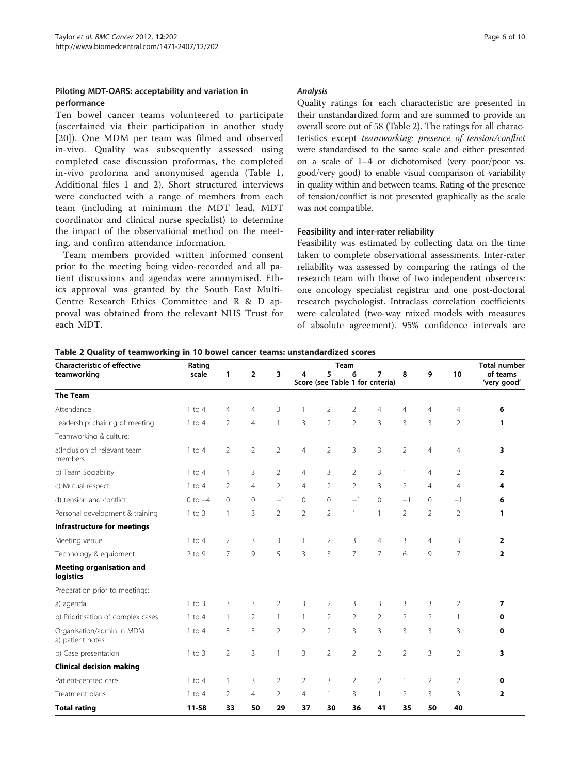### <span id="page-5-0"></span>Piloting MDT-OARS: acceptability and variation in performance

Ten bowel cancer teams volunteered to participate (ascertained via their participation in another study [[20](#page-9-0)]). One MDM per team was filmed and observed in-vivo. Quality was subsequently assessed using completed case discussion proformas, the completed in-vivo proforma and anonymised agenda (Table [1](#page-2-0), Additional files [1](#page-9-0) and [2](#page-9-0)). Short structured interviews were conducted with a range of members from each team (including at minimum the MDT lead, MDT coordinator and clinical nurse specialist) to determine the impact of the observational method on the meeting, and confirm attendance information.

Team members provided written informed consent prior to the meeting being video-recorded and all patient discussions and agendas were anonymised. Ethics approval was granted by the South East Multi-Centre Research Ethics Committee and R & D approval was obtained from the relevant NHS Trust for each MDT.

#### Analysis

Quality ratings for each characteristic are presented in their unstandardized form and are summed to provide an overall score out of 58 (Table 2). The ratings for all characteristics except teamworking: presence of tension/conflict were standardised to the same scale and either presented on a scale of 1–4 or dichotomised (very poor/poor vs. good/very good) to enable visual comparison of variability in quality within and between teams. Rating of the presence of tension/conflict is not presented graphically as the scale was not compatible.

### Feasibility and inter-rater reliability

Feasibility was estimated by collecting data on the time taken to complete observational assessments. Inter-rater reliability was assessed by comparing the ratings of the research team with those of two independent observers: one oncology specialist registrar and one post-doctoral research psychologist. Intraclass correlation coefficients were calculated (two-way mixed models with measures of absolute agreement). 95% confidence intervals are

| <b>Characteristic of effective</b>            | Rating      |                 |                |                |                | Team           |                |                                                    |                |                | <b>Total number</b> |                         |
|-----------------------------------------------|-------------|-----------------|----------------|----------------|----------------|----------------|----------------|----------------------------------------------------|----------------|----------------|---------------------|-------------------------|
| teamworking                                   | scale       | $\mathbf{1}$    | $\overline{2}$ | 3              | 4              | 5              | 6              | $\overline{7}$<br>Score (see Table 1 for criteria) | 8              | 9              | 10                  | of teams<br>'very good' |
| <b>The Team</b>                               |             |                 |                |                |                |                |                |                                                    |                |                |                     |                         |
|                                               |             |                 |                |                |                |                |                |                                                    |                |                |                     |                         |
| Attendance                                    | $1$ to $4$  | $\overline{4}$  | $\overline{4}$ | 3              | 1              | $\overline{2}$ | $\overline{2}$ | $\overline{4}$                                     | $\overline{4}$ | $\overline{4}$ | $\overline{4}$      | 6                       |
| Leadership: chairing of meeting               | $1$ to $4$  | 2               | $\overline{4}$ | $\mathbf{1}$   | 3              | $\overline{2}$ | $\overline{2}$ | 3                                                  | 3              | 3              | $\overline{2}$      | 1                       |
| Teamworking & culture:                        |             |                 |                |                |                |                |                |                                                    |                |                |                     |                         |
| a)Inclusion of relevant team<br>members       | $1$ to $4$  | $\overline{2}$  | $\overline{2}$ | $\overline{2}$ | $\overline{4}$ | $\overline{2}$ | 3              | 3                                                  | $\overline{2}$ | $\overline{4}$ | 4                   | 3                       |
| b) Team Sociability                           | $1$ to $4$  | $\mathbf{1}$    | 3              | $\overline{2}$ | $\overline{4}$ | 3              | $\overline{2}$ | 3                                                  | $\mathbf{1}$   | $\overline{4}$ | $\overline{2}$      | $\mathbf{2}$            |
| c) Mutual respect                             | $1$ to $4$  | 2               | $\overline{4}$ | $\overline{2}$ | $\overline{4}$ | $\overline{2}$ | $\overline{2}$ | 3                                                  | $\overline{2}$ | $\overline{4}$ | $\overline{4}$      | 4                       |
| d) tension and conflict                       | $0$ to $-4$ | $\Omega$        | $\Omega$       | $-1$           | $\Omega$       | $\Omega$       | $-1$           | $\Omega$                                           | $-1$           | $\Omega$       | $-1$                | 6                       |
| Personal development & training               | $1$ to $3$  | $\mathbf{1}$    | 3              | $\overline{2}$ | $\overline{2}$ | $\overline{2}$ | $\mathbf{1}$   | $\mathbf{1}$                                       | $\overline{2}$ | $\overline{2}$ | $\overline{2}$      | 1                       |
| Infrastructure for meetings                   |             |                 |                |                |                |                |                |                                                    |                |                |                     |                         |
| Meeting venue                                 | $1$ to $4$  | $\overline{2}$  | 3              | 3              | $\mathbf{1}$   | $\overline{2}$ | 3              | $\overline{4}$                                     | 3              | $\overline{4}$ | 3                   | $\overline{2}$          |
| Technology & equipment                        | $2$ to $9$  | $7\overline{ }$ | $\circ$        | 5              | 3              | 3              | $\overline{7}$ | $\overline{7}$                                     | 6              | 9              | $\overline{7}$      | $\mathbf{2}$            |
| <b>Meeting organisation and</b><br>logistics  |             |                 |                |                |                |                |                |                                                    |                |                |                     |                         |
| Preparation prior to meetings:                |             |                 |                |                |                |                |                |                                                    |                |                |                     |                         |
| a) agenda                                     | $1$ to $3$  | 3               | 3              | $\overline{2}$ | 3              | $\overline{2}$ | 3              | 3                                                  | 3              | 3              | $\overline{2}$      | 7                       |
| b) Prioritisation of complex cases            | $1$ to $4$  | $\mathbf{1}$    | $\overline{2}$ | $\mathbf{1}$   | $\mathbf{1}$   | $\overline{2}$ | $\overline{2}$ | $\overline{2}$                                     | $\overline{2}$ | $\overline{2}$ | $\mathbf{1}$        | 0                       |
| Organisation/admin in MDM<br>a) patient notes | $1$ to $4$  | 3               | 3              | $\overline{2}$ | $\overline{2}$ | $\overline{2}$ | 3              | 3                                                  | 3              | 3              | 3                   | 0                       |
| b) Case presentation                          | $1$ to $3$  | $\overline{2}$  | 3              | $\mathbf{1}$   | 3              | $\overline{2}$ | $\overline{2}$ | $\overline{2}$                                     | $\overline{2}$ | 3              | $\overline{2}$      | 3                       |
| <b>Clinical decision making</b>               |             |                 |                |                |                |                |                |                                                    |                |                |                     |                         |
| Patient-centred care                          | $1$ to $4$  | 1               | 3              | $\overline{2}$ | $\overline{2}$ | 3              | $\overline{2}$ | $\overline{2}$                                     | $\mathbf{1}$   | $\overline{2}$ | $\overline{2}$      | 0                       |
| Treatment plans                               | $1$ to $4$  | 2               | $\overline{4}$ | $\overline{2}$ | $\overline{4}$ | $\mathbf{1}$   | 3              | $\mathbf{1}$                                       | $\overline{2}$ | 3              | 3                   | $\overline{2}$          |
| <b>Total rating</b>                           | $11 - 58$   | 33              | 50             | 29             | 37             | 30             | 36             | 41                                                 | 35             | 50             | 40                  |                         |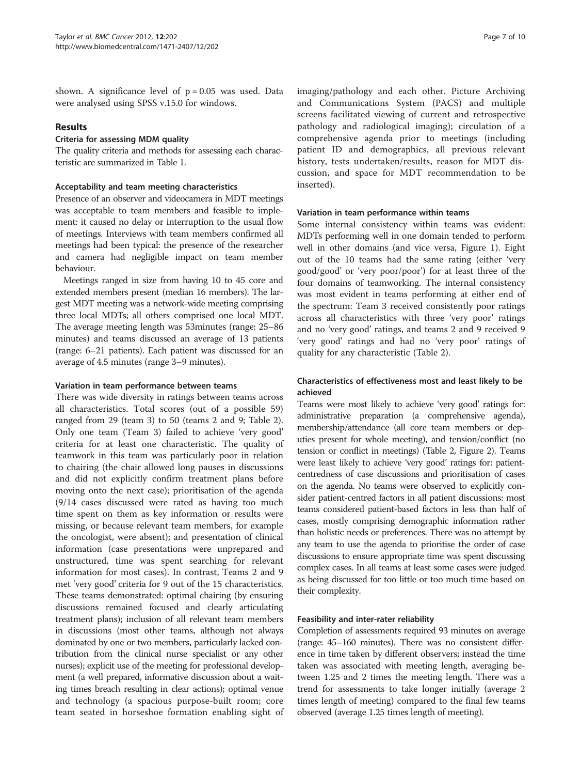shown. A significance level of  $p = 0.05$  was used. Data were analysed using SPSS v.15.0 for windows.

#### Results

## Criteria for assessing MDM quality

The quality criteria and methods for assessing each characteristic are summarized in Table [1.](#page-2-0)

#### Acceptability and team meeting characteristics

Presence of an observer and videocamera in MDT meetings was acceptable to team members and feasible to implement: it caused no delay or interruption to the usual flow of meetings. Interviews with team members confirmed all meetings had been typical: the presence of the researcher and camera had negligible impact on team member behaviour.

Meetings ranged in size from having 10 to 45 core and extended members present (median 16 members). The largest MDT meeting was a network-wide meeting comprising three local MDTs; all others comprised one local MDT. The average meeting length was 53minutes (range: 25–86 minutes) and teams discussed an average of 13 patients (range: 6–21 patients). Each patient was discussed for an average of 4.5 minutes (range 3–9 minutes).

#### Variation in team performance between teams

There was wide diversity in ratings between teams across all characteristics. Total scores (out of a possible 59) ranged from 29 (team 3) to 50 (teams 2 and 9; Table [2](#page-5-0)). Only one team (Team 3) failed to achieve 'very good' criteria for at least one characteristic. The quality of teamwork in this team was particularly poor in relation to chairing (the chair allowed long pauses in discussions and did not explicitly confirm treatment plans before moving onto the next case); prioritisation of the agenda (9/14 cases discussed were rated as having too much time spent on them as key information or results were missing, or because relevant team members, for example the oncologist, were absent); and presentation of clinical information (case presentations were unprepared and unstructured, time was spent searching for relevant information for most cases). In contrast, Teams 2 and 9 met 'very good' criteria for 9 out of the 15 characteristics. These teams demonstrated: optimal chairing (by ensuring discussions remained focused and clearly articulating treatment plans); inclusion of all relevant team members in discussions (most other teams, although not always dominated by one or two members, particularly lacked contribution from the clinical nurse specialist or any other nurses); explicit use of the meeting for professional development (a well prepared, informative discussion about a waiting times breach resulting in clear actions); optimal venue and technology (a spacious purpose-built room; core team seated in horseshoe formation enabling sight of

imaging/pathology and each other. Picture Archiving and Communications System (PACS) and multiple screens facilitated viewing of current and retrospective pathology and radiological imaging); circulation of a comprehensive agenda prior to meetings (including patient ID and demographics, all previous relevant history, tests undertaken/results, reason for MDT discussion, and space for MDT recommendation to be inserted).

#### Variation in team performance within teams

Some internal consistency within teams was evident: MDTs performing well in one domain tended to perform well in other domains (and vice versa, Figure [1\)](#page-7-0). Eight out of the 10 teams had the same rating (either 'very good/good' or 'very poor/poor') for at least three of the four domains of teamworking. The internal consistency was most evident in teams performing at either end of the spectrum: Team 3 received consistently poor ratings across all characteristics with three 'very poor' ratings and no 'very good' ratings, and teams 2 and 9 received 9 'very good' ratings and had no 'very poor' ratings of quality for any characteristic (Table [2\)](#page-5-0).

# Characteristics of effectiveness most and least likely to be achieved

Teams were most likely to achieve 'very good' ratings for: administrative preparation (a comprehensive agenda), membership/attendance (all core team members or deputies present for whole meeting), and tension/conflict (no tension or conflict in meetings) (Table [2,](#page-5-0) Figure [2\)](#page-7-0). Teams were least likely to achieve 'very good' ratings for: patientcentredness of case discussions and prioritisation of cases on the agenda. No teams were observed to explicitly consider patient-centred factors in all patient discussions: most teams considered patient-based factors in less than half of cases, mostly comprising demographic information rather than holistic needs or preferences. There was no attempt by any team to use the agenda to prioritise the order of case discussions to ensure appropriate time was spent discussing complex cases. In all teams at least some cases were judged as being discussed for too little or too much time based on their complexity.

### Feasibility and inter-rater reliability

Completion of assessments required 93 minutes on average (range: 45–160 minutes). There was no consistent difference in time taken by different observers; instead the time taken was associated with meeting length, averaging between 1.25 and 2 times the meeting length. There was a trend for assessments to take longer initially (average 2 times length of meeting) compared to the final few teams observed (average 1.25 times length of meeting).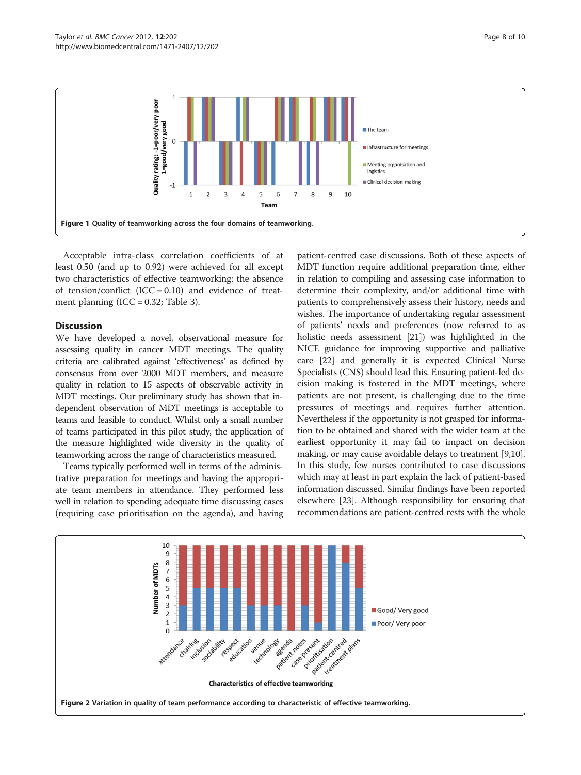<span id="page-7-0"></span>

Acceptable intra-class correlation coefficients of at least 0.50 (and up to 0.92) were achieved for all except two characteristics of effective teamworking: the absence of tension/conflict  $(ICC = 0.10)$  and evidence of treatment planning (ICC =  $0.32$ ; Table [3\)](#page-8-0).

### **Discussion**

We have developed a novel, observational measure for assessing quality in cancer MDT meetings. The quality criteria are calibrated against 'effectiveness' as defined by consensus from over 2000 MDT members, and measure quality in relation to 15 aspects of observable activity in MDT meetings. Our preliminary study has shown that independent observation of MDT meetings is acceptable to teams and feasible to conduct. Whilst only a small number of teams participated in this pilot study, the application of the measure highlighted wide diversity in the quality of teamworking across the range of characteristics measured.

Teams typically performed well in terms of the administrative preparation for meetings and having the appropriate team members in attendance. They performed less well in relation to spending adequate time discussing cases (requiring case prioritisation on the agenda), and having

patient-centred case discussions. Both of these aspects of MDT function require additional preparation time, either in relation to compiling and assessing case information to determine their complexity, and/or additional time with patients to comprehensively assess their history, needs and wishes. The importance of undertaking regular assessment of patients' needs and preferences (now referred to as holistic needs assessment [\[21\]](#page-9-0)) was highlighted in the NICE guidance for improving supportive and palliative care [[22](#page-9-0)] and generally it is expected Clinical Nurse Specialists (CNS) should lead this. Ensuring patient-led decision making is fostered in the MDT meetings, where patients are not present, is challenging due to the time pressures of meetings and requires further attention. Nevertheless if the opportunity is not grasped for information to be obtained and shared with the wider team at the earliest opportunity it may fail to impact on decision making, or may cause avoidable delays to treatment [\[9,10](#page-9-0)]. In this study, few nurses contributed to case discussions which may at least in part explain the lack of patient-based information discussed. Similar findings have been reported elsewhere [[23](#page-9-0)]. Although responsibility for ensuring that recommendations are patient-centred rests with the whole

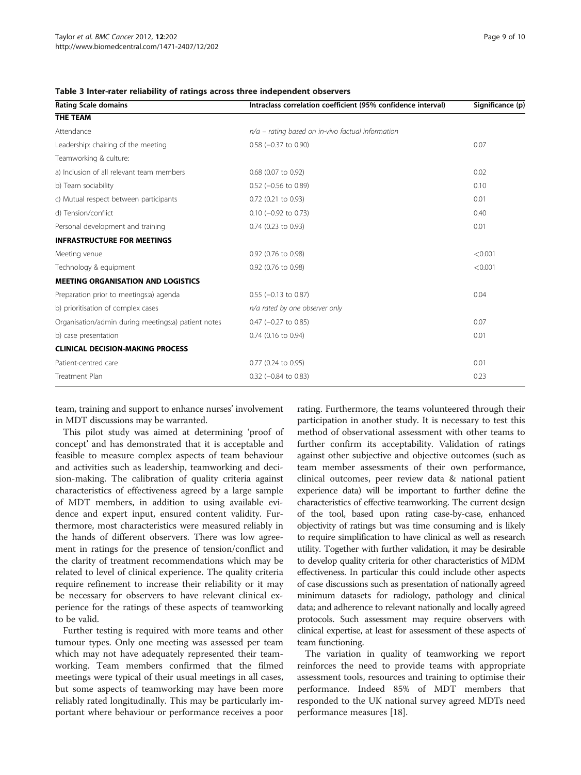<span id="page-8-0"></span>

| Intraclass correlation coefficient (95% confidence interval) | Significance (p) |  |
|--------------------------------------------------------------|------------------|--|
|                                                              |                  |  |
| $n/a$ – rating based on in-vivo factual information          |                  |  |
| $0.58$ (-0.37 to 0.90)                                       | 0.07             |  |
|                                                              |                  |  |
| 0.68 (0.07 to 0.92)                                          | 0.02             |  |
| $0.52$ (-0.56 to 0.89)                                       | 0.10             |  |
| 0.72 (0.21 to 0.93)                                          | 0.01             |  |
| $0.10$ (-0.92 to 0.73)                                       | 0.40             |  |
| 0.74 (0.23 to 0.93)                                          | 0.01             |  |
|                                                              |                  |  |
| 0.92 (0.76 to 0.98)                                          | < 0.001          |  |
| 0.92 (0.76 to 0.98)                                          | < 0.001          |  |
|                                                              |                  |  |
| $0.55$ (-0.13 to 0.87)                                       | 0.04             |  |
| n/a rated by one observer only                               |                  |  |
| $0.47$ (-0.27 to 0.85)                                       | 0.07             |  |
| 0.74 (0.16 to 0.94)                                          | 0.01             |  |
|                                                              |                  |  |
| 0.77 (0.24 to 0.95)                                          | 0.01             |  |
| $0.32$ (-0.84 to 0.83)                                       | 0.23             |  |
|                                                              |                  |  |

team, training and support to enhance nurses' involvement in MDT discussions may be warranted.

This pilot study was aimed at determining 'proof of concept' and has demonstrated that it is acceptable and feasible to measure complex aspects of team behaviour and activities such as leadership, teamworking and decision-making. The calibration of quality criteria against characteristics of effectiveness agreed by a large sample of MDT members, in addition to using available evidence and expert input, ensured content validity. Furthermore, most characteristics were measured reliably in the hands of different observers. There was low agreement in ratings for the presence of tension/conflict and the clarity of treatment recommendations which may be related to level of clinical experience. The quality criteria require refinement to increase their reliability or it may be necessary for observers to have relevant clinical experience for the ratings of these aspects of teamworking to be valid.

Further testing is required with more teams and other tumour types. Only one meeting was assessed per team which may not have adequately represented their teamworking. Team members confirmed that the filmed meetings were typical of their usual meetings in all cases, but some aspects of teamworking may have been more reliably rated longitudinally. This may be particularly important where behaviour or performance receives a poor rating. Furthermore, the teams volunteered through their participation in another study. It is necessary to test this method of observational assessment with other teams to further confirm its acceptability. Validation of ratings against other subjective and objective outcomes (such as team member assessments of their own performance, clinical outcomes, peer review data & national patient experience data) will be important to further define the characteristics of effective teamworking. The current design of the tool, based upon rating case-by-case, enhanced objectivity of ratings but was time consuming and is likely to require simplification to have clinical as well as research utility. Together with further validation, it may be desirable to develop quality criteria for other characteristics of MDM effectiveness. In particular this could include other aspects of case discussions such as presentation of nationally agreed minimum datasets for radiology, pathology and clinical data; and adherence to relevant nationally and locally agreed protocols. Such assessment may require observers with clinical expertise, at least for assessment of these aspects of team functioning.

The variation in quality of teamworking we report reinforces the need to provide teams with appropriate assessment tools, resources and training to optimise their performance. Indeed 85% of MDT members that responded to the UK national survey agreed MDTs need performance measures [\[18\]](#page-9-0).